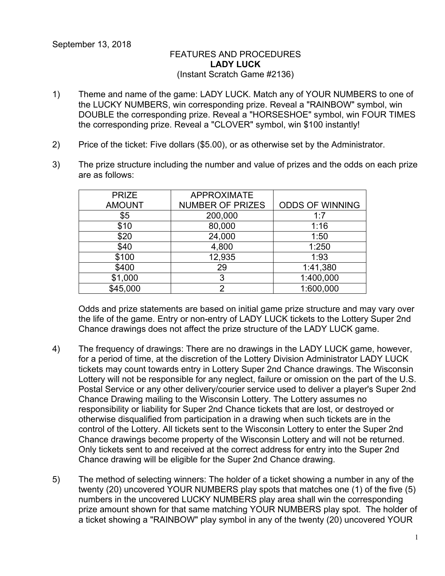## FEATURES AND PROCEDURES **LADY LUCK** (Instant Scratch Game #2136)

- 1) Theme and name of the game: LADY LUCK. Match any of YOUR NUMBERS to one of the LUCKY NUMBERS, win corresponding prize. Reveal a "RAINBOW" symbol, win DOUBLE the corresponding prize. Reveal a "HORSESHOE" symbol, win FOUR TIMES the corresponding prize. Reveal a "CLOVER" symbol, win \$100 instantly!
- 2) Price of the ticket: Five dollars (\$5.00), or as otherwise set by the Administrator.
- 3) The prize structure including the number and value of prizes and the odds on each prize are as follows:

| <b>PRIZE</b>  | <b>APPROXIMATE</b>      |                        |
|---------------|-------------------------|------------------------|
| <b>AMOUNT</b> | <b>NUMBER OF PRIZES</b> | <b>ODDS OF WINNING</b> |
| \$5           | 200,000                 | 1:7                    |
| \$10          | 80,000                  | 1:16                   |
| \$20          | 24,000                  | 1:50                   |
| \$40          | 4,800                   | 1:250                  |
| \$100         | 12,935                  | 1:93                   |
| \$400         | 29                      | 1:41,380               |
| \$1,000       | 3                       | 1:400,000              |
| \$45,000      | າ                       | 1:600,000              |

Odds and prize statements are based on initial game prize structure and may vary over the life of the game. Entry or non-entry of LADY LUCK tickets to the Lottery Super 2nd Chance drawings does not affect the prize structure of the LADY LUCK game.

- 4) The frequency of drawings: There are no drawings in the LADY LUCK game, however, for a period of time, at the discretion of the Lottery Division Administrator LADY LUCK tickets may count towards entry in Lottery Super 2nd Chance drawings. The Wisconsin Lottery will not be responsible for any neglect, failure or omission on the part of the U.S. Postal Service or any other delivery/courier service used to deliver a player's Super 2nd Chance Drawing mailing to the Wisconsin Lottery. The Lottery assumes no responsibility or liability for Super 2nd Chance tickets that are lost, or destroyed or otherwise disqualified from participation in a drawing when such tickets are in the control of the Lottery. All tickets sent to the Wisconsin Lottery to enter the Super 2nd Chance drawings become property of the Wisconsin Lottery and will not be returned. Only tickets sent to and received at the correct address for entry into the Super 2nd Chance drawing will be eligible for the Super 2nd Chance drawing.
- 5) The method of selecting winners: The holder of a ticket showing a number in any of the twenty (20) uncovered YOUR NUMBERS play spots that matches one (1) of the five (5) numbers in the uncovered LUCKY NUMBERS play area shall win the corresponding prize amount shown for that same matching YOUR NUMBERS play spot. The holder of a ticket showing a "RAINBOW" play symbol in any of the twenty (20) uncovered YOUR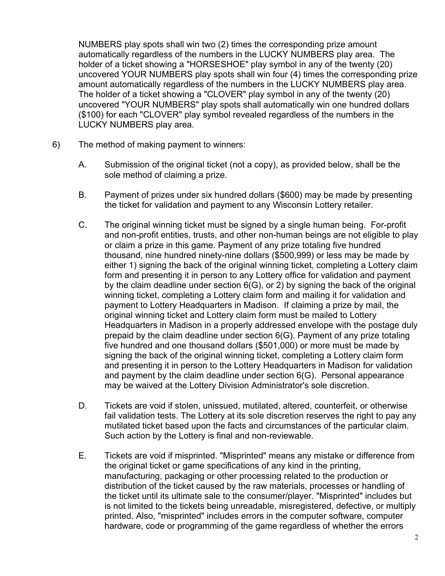NUMBERS play spots shall win two (2) times the corresponding prize amount automatically regardless of the numbers in the LUCKY NUMBERS play area. The holder of a ticket showing a "HORSESHOE" play symbol in any of the twenty (20) uncovered YOUR NUMBERS play spots shall win four (4) times the corresponding prize amount automatically regardless of the numbers in the LUCKY NUMBERS play area. The holder of a ticket showing a "CLOVER" play symbol in any of the twenty (20) uncovered "YOUR NUMBERS" play spots shall automatically win one hundred dollars (\$100) for each "CLOVER" play symbol revealed regardless of the numbers in the LUCKY NUMBERS play area.

- 6) The method of making payment to winners:
	- A. Submission of the original ticket (not a copy), as provided below, shall be the sole method of claiming a prize.
	- B. Payment of prizes under six hundred dollars (\$600) may be made by presenting the ticket for validation and payment to any Wisconsin Lottery retailer.
	- C. The original winning ticket must be signed by a single human being. For-profit and non-profit entities, trusts, and other non-human beings are not eligible to play or claim a prize in this game. Payment of any prize totaling five hundred thousand, nine hundred ninety-nine dollars (\$500,999) or less may be made by either 1) signing the back of the original winning ticket, completing a Lottery claim form and presenting it in person to any Lottery office for validation and payment by the claim deadline under section 6(G), or 2) by signing the back of the original winning ticket, completing a Lottery claim form and mailing it for validation and payment to Lottery Headquarters in Madison. If claiming a prize by mail, the original winning ticket and Lottery claim form must be mailed to Lottery Headquarters in Madison in a properly addressed envelope with the postage duly prepaid by the claim deadline under section 6(G). Payment of any prize totaling five hundred and one thousand dollars (\$501,000) or more must be made by signing the back of the original winning ticket, completing a Lottery claim form and presenting it in person to the Lottery Headquarters in Madison for validation and payment by the claim deadline under section 6(G). Personal appearance may be waived at the Lottery Division Administrator's sole discretion.
	- D. Tickets are void if stolen, unissued, mutilated, altered, counterfeit, or otherwise fail validation tests. The Lottery at its sole discretion reserves the right to pay any mutilated ticket based upon the facts and circumstances of the particular claim. Such action by the Lottery is final and non-reviewable.
	- E. Tickets are void if misprinted. "Misprinted" means any mistake or difference from the original ticket or game specifications of any kind in the printing, manufacturing, packaging or other processing related to the production or distribution of the ticket caused by the raw materials, processes or handling of the ticket until its ultimate sale to the consumer/player. "Misprinted" includes but is not limited to the tickets being unreadable, misregistered, defective, or multiply printed. Also, "misprinted" includes errors in the computer software, computer hardware, code or programming of the game regardless of whether the errors